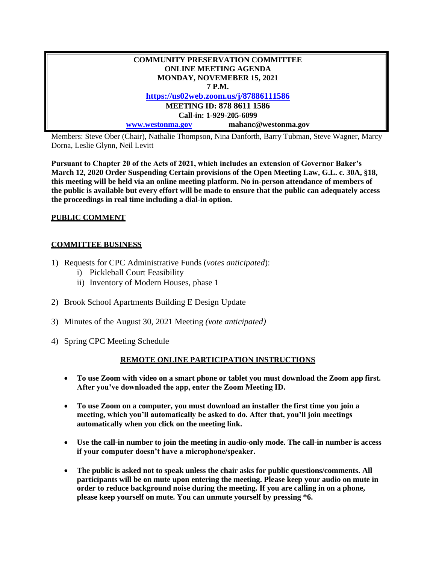| <b>COMMUNITY PRESERVATION COMMITTEE</b> |                     |
|-----------------------------------------|---------------------|
| <b>ONLINE MEETING AGENDA</b>            |                     |
| MONDAY, NOVEMEBER 15, 2021              |                     |
| 7 P.M.                                  |                     |
| https://us02web.zoom.us/j/87886111586   |                     |
| <b>MEETING ID: 878 8611 1586</b>        |                     |
| Call-in: 1-929-205-6099                 |                     |
| www.westonma.gov                        | mahanc@westonma.gov |

Members: Steve Ober (Chair), Nathalie Thompson, Nina Danforth, Barry Tubman, Steve Wagner, Marcy Dorna, Leslie Glynn, Neil Levitt

**Pursuant to Chapter 20 of the Acts of 2021, which includes an extension of Governor Baker's March 12, 2020 Order Suspending Certain provisions of the Open Meeting Law, G.L. c. 30A, §18, this meeting will be held via an online meeting platform. No in-person attendance of members of the public is available but every effort will be made to ensure that the public can adequately access the proceedings in real time including a dial-in option.**

## **PUBLIC COMMENT**

## **COMMITTEE BUSINESS**

- 1) Requests for CPC Administrative Funds (*votes anticipated*):
	- i) Pickleball Court Feasibility
	- ii) Inventory of Modern Houses, phase 1
- 2) Brook School Apartments Building E Design Update
- 3) Minutes of the August 30, 2021 Meeting *(vote anticipated)*
- 4) Spring CPC Meeting Schedule

## **REMOTE ONLINE PARTICIPATION INSTRUCTIONS**

- **To use Zoom with video on a smart phone or tablet you must download the Zoom app first. After you've downloaded the app, enter the Zoom Meeting ID.**
- **To use Zoom on a computer, you must download an installer the first time you join a meeting, which you'll automatically be asked to do. After that, you'll join meetings automatically when you click on the meeting link.**
- **Use the call-in number to join the meeting in audio-only mode. The call-in number is access if your computer doesn't have a microphone/speaker.**
- **The public is asked not to speak unless the chair asks for public questions/comments. All participants will be on mute upon entering the meeting. Please keep your audio on mute in order to reduce background noise during the meeting. If you are calling in on a phone, please keep yourself on mute. You can unmute yourself by pressing \*6.**